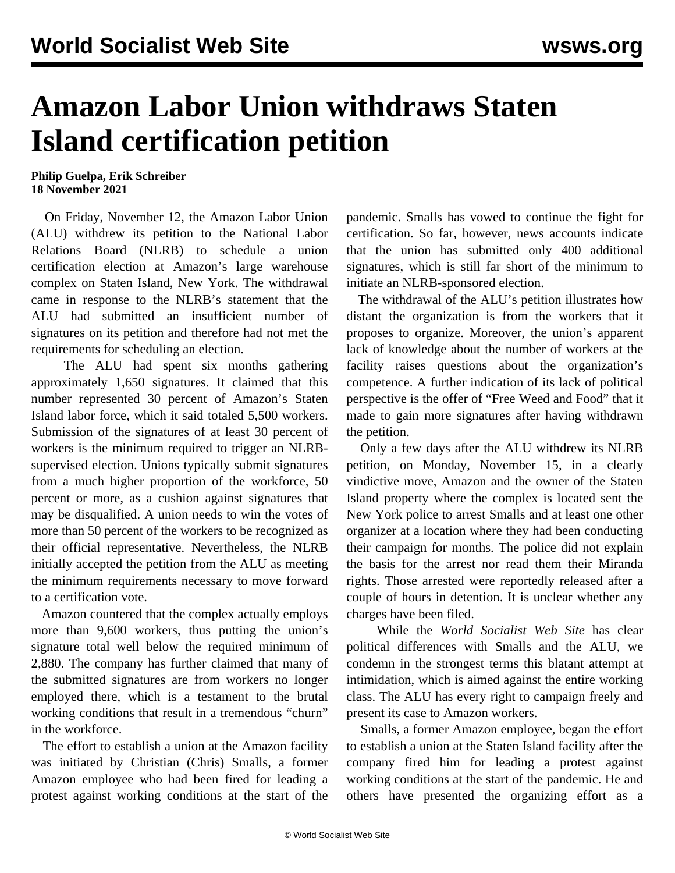## **Amazon Labor Union withdraws Staten Island certification petition**

**Philip Guelpa, Erik Schreiber 18 November 2021**

 On Friday, November 12, the Amazon Labor Union (ALU) withdrew its petition to the National Labor Relations Board (NLRB) to schedule a union certification election at Amazon's large warehouse complex on Staten Island, New York. The withdrawal came in response to the NLRB's statement that the ALU had submitted an insufficient number of signatures on its petition and therefore had not met the requirements for scheduling an election.

 The ALU had spent six months gathering approximately 1,650 signatures. It claimed that this number represented 30 percent of Amazon's Staten Island labor force, which it said totaled 5,500 workers. Submission of the signatures of at least 30 percent of workers is the minimum required to trigger an NLRBsupervised election. Unions typically submit signatures from a much higher proportion of the workforce, 50 percent or more, as a cushion against signatures that may be disqualified. A union needs to win the votes of more than 50 percent of the workers to be recognized as their official representative. Nevertheless, the NLRB initially accepted the petition from the ALU as meeting the minimum requirements necessary to move forward to a certification vote.

 Amazon countered that the complex actually employs more than 9,600 workers, thus putting the union's signature total well below the required minimum of 2,880. The company has further claimed that many of the submitted signatures are from workers no longer employed there, which is a testament to the brutal working conditions that result in a tremendous "churn" in the workforce.

 The effort to establish a union at the Amazon facility was initiated by Christian (Chris) Smalls, a former Amazon employee who had been fired for leading a protest against working conditions at the start of the pandemic. Smalls has vowed to continue the fight for certification. So far, however, news accounts indicate that the union has submitted only 400 additional signatures, which is still far short of the minimum to initiate an NLRB-sponsored election.

 The withdrawal of the ALU's petition illustrates how distant the organization is from the workers that it proposes to organize. Moreover, the union's apparent lack of knowledge about the number of workers at the facility raises questions about the organization's competence. A further indication of its lack of political perspective is the offer of "Free Weed and Food" that it made to gain more signatures after having withdrawn the petition.

 Only a few days after the ALU withdrew its NLRB petition, on Monday, November 15, in a clearly vindictive move, Amazon and the owner of the Staten Island property where the complex is located sent the New York police to arrest Smalls and at least one other organizer at a location where they had been conducting their campaign for months. The police did not explain the basis for the arrest nor read them their Miranda rights. Those arrested were reportedly released after a couple of hours in detention. It is unclear whether any charges have been filed.

 While the *World Socialist Web Site* has clear political differences with Smalls and the ALU, we condemn in the strongest terms this blatant attempt at intimidation, which is aimed against the entire working class. The ALU has every right to campaign freely and present its case to Amazon workers.

 Smalls, a former Amazon employee, began the effort to establish a union at the Staten Island facility after the company fired him for leading a protest against working conditions at the start of the pandemic. He and others have presented the organizing effort as a